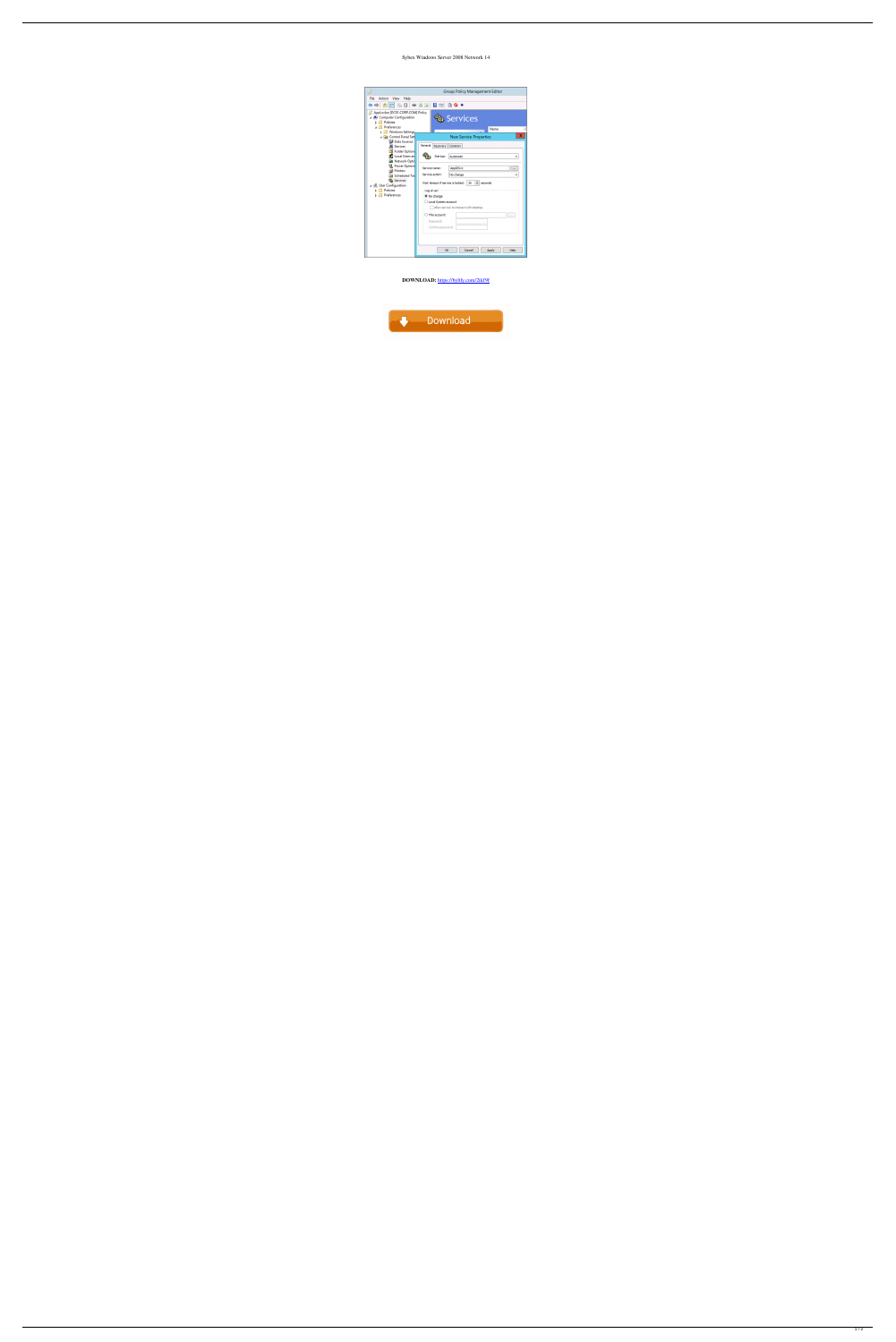## Sybex Windows Server 2008 Network 14



DOWNLOAD: https://byltly.com/2ikf9f